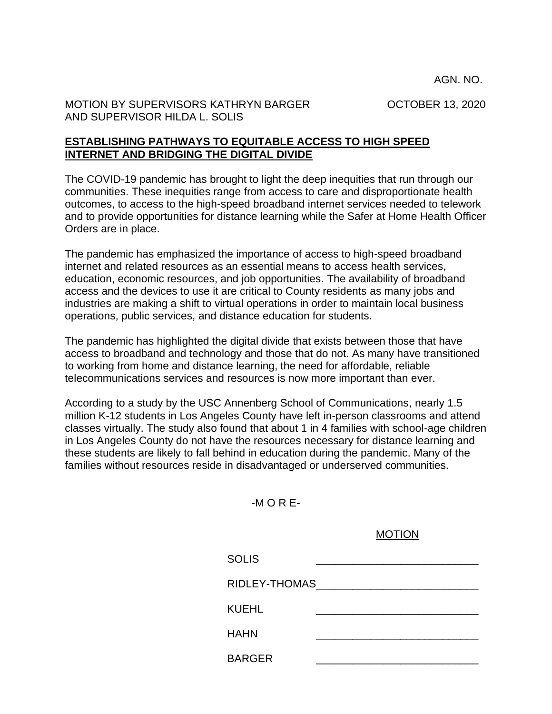AGN. NO.

MOTION BY SUPERVISORS KATHRYN BARGER OCTOBER 13, 2020 AND SUPERVISOR HILDA L. SOLIS

## **ESTABLISHING PATHWAYS TO EQUITABLE ACCESS TO HIGH SPEED INTERNET AND BRIDGING THE DIGITAL DIVIDE**

The COVID-19 pandemic has brought to light the deep inequities that run through our communities. These inequities range from access to care and disproportionate health outcomes, to access to the high-speed broadband internet services needed to telework and to provide opportunities for distance learning while the Safer at Home Health Officer Orders are in place.

The pandemic has emphasized the importance of access to high-speed broadband internet and related resources as an essential means to access health services, education, economic resources, and job opportunities. The availability of broadband access and the devices to use it are critical to County residents as many jobs and industries are making a shift to virtual operations in order to maintain local business operations, public services, and distance education for students.

The pandemic has highlighted the digital divide that exists between those that have access to broadband and technology and those that do not. As many have transitioned to working from home and distance learning, the need for affordable, reliable telecommunications services and resources is now more important than ever.

According to a study by the USC Annenberg School of Communications, nearly 1.5 million K-12 students in Los Angeles County have left in-person classrooms and attend classes virtually. The study also found that about 1 in 4 families with school-age children in Los Angeles County do not have the resources necessary for distance learning and these students are likely to fall behind in education during the pandemic. Many of the families without resources reside in disadvantaged or underserved communities.

-M O R E-

MOTION SOLIS \_\_\_\_\_\_\_\_\_\_\_\_\_\_\_\_\_\_\_\_\_\_\_\_\_\_\_ RIDLEY-THOMAS\_\_\_\_\_\_\_\_\_\_\_\_\_\_\_\_\_\_\_\_\_\_\_\_\_\_\_ KUEHL HAHN \_\_\_\_\_\_\_\_\_\_\_\_\_\_\_\_\_\_\_\_\_\_\_\_\_\_\_ BARGER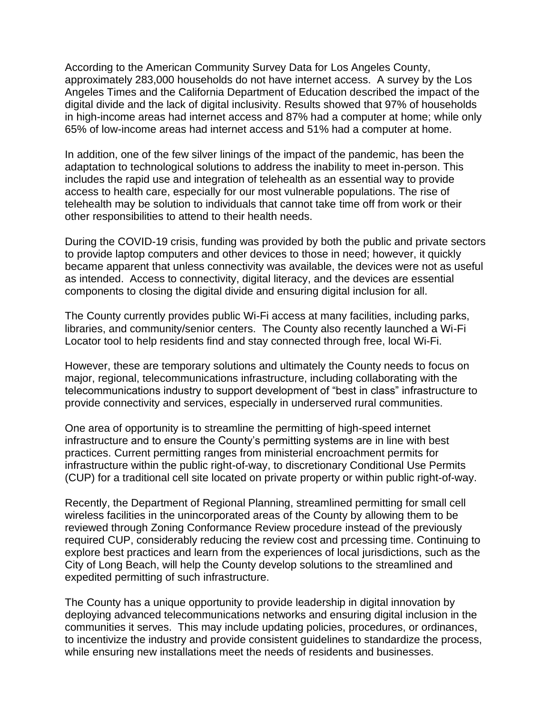According to the American Community Survey Data for Los Angeles County, approximately 283,000 households do not have internet access. A survey by the Los Angeles Times and the California Department of Education described the impact of the digital divide and the lack of digital inclusivity. Results showed that 97% of households in high-income areas had internet access and 87% had a computer at home; while only 65% of low-income areas had internet access and 51% had a computer at home.

In addition, one of the few silver linings of the impact of the pandemic, has been the adaptation to technological solutions to address the inability to meet in-person. This includes the rapid use and integration of telehealth as an essential way to provide access to health care, especially for our most vulnerable populations. The rise of telehealth may be solution to individuals that cannot take time off from work or their other responsibilities to attend to their health needs.

During the COVID-19 crisis, funding was provided by both the public and private sectors to provide laptop computers and other devices to those in need; however, it quickly became apparent that unless connectivity was available, the devices were not as useful as intended. Access to connectivity, digital literacy, and the devices are essential components to closing the digital divide and ensuring digital inclusion for all.

The County currently provides public Wi-Fi access at many facilities, including parks, libraries, and community/senior centers. The County also recently launched a Wi-Fi Locator tool to help residents find and stay connected through free, local Wi-Fi.

However, these are temporary solutions and ultimately the County needs to focus on major, regional, telecommunications infrastructure, including collaborating with the telecommunications industry to support development of "best in class" infrastructure to provide connectivity and services, especially in underserved rural communities.

One area of opportunity is to streamline the permitting of high-speed internet infrastructure and to ensure the County's permitting systems are in line with best practices. Current permitting ranges from ministerial encroachment permits for infrastructure within the public right-of-way, to discretionary Conditional Use Permits (CUP) for a traditional cell site located on private property or within public right-of-way.

Recently, the Department of Regional Planning, streamlined permitting for small cell wireless facilities in the unincorporated areas of the County by allowing them to be reviewed through Zoning Conformance Review procedure instead of the previously required CUP, considerably reducing the review cost and prcessing time. Continuing to explore best practices and learn from the experiences of local jurisdictions, such as the City of Long Beach, will help the County develop solutions to the streamlined and expedited permitting of such infrastructure.

The County has a unique opportunity to provide leadership in digital innovation by deploying advanced telecommunications networks and ensuring digital inclusion in the communities it serves. This may include updating policies, procedures, or ordinances, to incentivize the industry and provide consistent guidelines to standardize the process, while ensuring new installations meet the needs of residents and businesses.